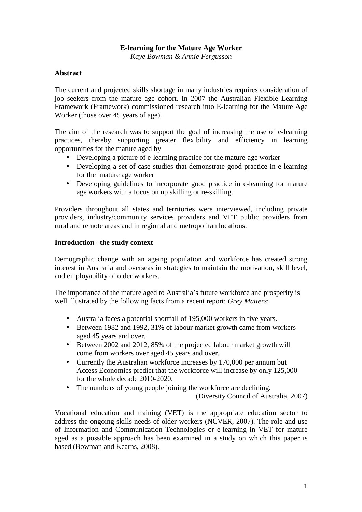# **E-learning for the Mature Age Worker**

*Kaye Bowman & Annie Fergusson* 

### **Abstract**

The current and projected skills shortage in many industries requires consideration of job seekers from the mature age cohort. In 2007 the Australian Flexible Learning Framework (Framework) commissioned research into E-learning for the Mature Age Worker (those over 45 years of age).

The aim of the research was to support the goal of increasing the use of e-learning practices, thereby supporting greater flexibility and efficiency in learning opportunities for the mature aged by

- Developing a picture of e-learning practice for the mature-age worker
- Developing a set of case studies that demonstrate good practice in e-learning for the mature age worker
- Developing guidelines to incorporate good practice in e-learning for mature age workers with a focus on up skilling or re-skilling.

Providers throughout all states and territories were interviewed, including private providers, industry/community services providers and VET public providers from rural and remote areas and in regional and metropolitan locations.

#### **Introduction –the study context**

Demographic change with an ageing population and workforce has created strong interest in Australia and overseas in strategies to maintain the motivation, skill level, and employability of older workers.

The importance of the mature aged to Australia's future workforce and prosperity is well illustrated by the following facts from a recent report: *Grey Matters*:

- Australia faces a potential shortfall of 195,000 workers in five years.
- Between 1982 and 1992, 31% of labour market growth came from workers aged 45 years and over.
- Between 2002 and 2012, 85% of the projected labour market growth will come from workers over aged 45 years and over.
- Currently the Australian workforce increases by 170,000 per annum but Access Economics predict that the workforce will increase by only 125,000 for the whole decade 2010-2020.
- The numbers of young people joining the workforce are declining. (Diversity Council of Australia, 2007)

Vocational education and training (VET) is the appropriate education sector to address the ongoing skills needs of older workers (NCVER, 2007). The role and use of Information and Communication Technologies or e-learning in VET for mature aged as a possible approach has been examined in a study on which this paper is based (Bowman and Kearns, 2008).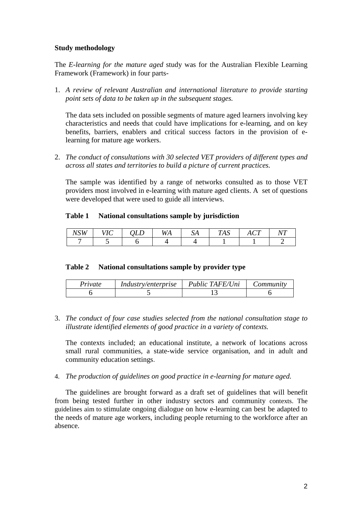### **Study methodology**

The *E-learning for the mature aged* study was for the Australian Flexible Learning Framework (Framework) in four parts-

1. *A review of relevant Australian and international literature to provide starting point sets of data to be taken up in the subsequent stages.* 

The data sets included on possible segments of mature aged learners involving key characteristics and needs that could have implications for e-learning, and on key benefits, barriers, enablers and critical success factors in the provision of elearning for mature age workers.

2. *The conduct of consultations with 30 selected VET providers of different types and across all states and territories to build a picture of current practices.* 

The sample was identified by a range of networks consulted as to those VET providers most involved in e-learning with mature aged clients. A set of questions were developed that were used to guide all interviews.

## **Table 1 National consultations sample by jurisdiction**

| $-70777$<br>м.<br>. | $\mathbf{r}$ $\sim$<br>$\overline{1}$ | ப | <b>***</b><br>$\mathcal{N}$<br>77 V V | υA | TTA<br>$\epsilon$<br>1A.) | $\sim$<br>$\sqrt{1 + \sqrt{1 + \frac{1}{2}}}$ | T<br>∿ |
|---------------------|---------------------------------------|---|---------------------------------------|----|---------------------------|-----------------------------------------------|--------|
|                     |                                       |   |                                       |    |                           |                                               |        |

#### **Table 2 National consultations sample by provider type**

| Private | <i>Industry/enterprise</i> | Public TAFE/Uni | Community |
|---------|----------------------------|-----------------|-----------|
|         |                            |                 |           |

3. *The conduct of four case studies selected from the national consultation stage to illustrate identified elements of good practice in a variety of contexts.*

The contexts included; an educational institute, a network of locations across small rural communities, a state-wide service organisation, and in adult and community education settings.

4. *The production of guidelines on good practice in e-learning for mature aged.* 

The guidelines are brought forward as a draft set of guidelines that will benefit from being tested further in other industry sectors and community contexts. The guidelines aim to stimulate ongoing dialogue on how e-learning can best be adapted to the needs of mature age workers, including people returning to the workforce after an absence.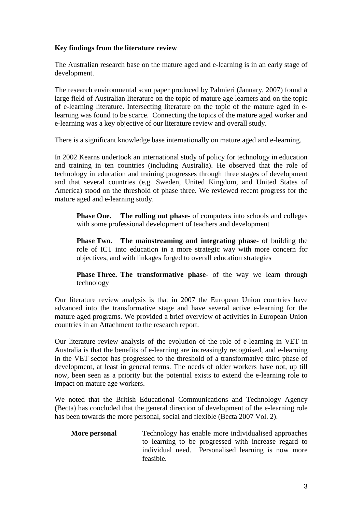# **Key findings from the literature review**

The Australian research base on the mature aged and e-learning is in an early stage of development.

The research environmental scan paper produced by Palmieri (January, 2007) found a large field of Australian literature on the topic of mature age learners and on the topic of e-learning literature. Intersecting literature on the topic of the mature aged in elearning was found to be scarce. Connecting the topics of the mature aged worker and e-learning was a key objective of our literature review and overall study.

There is a significant knowledge base internationally on mature aged and e-learning.

In 2002 Kearns undertook an international study of policy for technology in education and training in ten countries (including Australia). He observed that the role of technology in education and training progresses through three stages of development and that several countries (e.g. Sweden, United Kingdom, and United States of America) stood on the threshold of phase three. We reviewed recent progress for the mature aged and e-learning study.

**Phase One.** The rolling out phase- of computers into schools and colleges with some professional development of teachers and development

**Phase Two. The mainstreaming and integrating phase-** of building the role of ICT into education in a more strategic way with more concern for objectives, and with linkages forged to overall education strategies

**Phase Three. The transformative phase-** of the way we learn through technology

Our literature review analysis is that in 2007 the European Union countries have advanced into the transformative stage and have several active e-learning for the mature aged programs. We provided a brief overview of activities in European Union countries in an Attachment to the research report.

Our literature review analysis of the evolution of the role of e-learning in VET in Australia is that the benefits of e-learning are increasingly recognised, and e-learning in the VET sector has progressed to the threshold of a transformative third phase of development, at least in general terms. The needs of older workers have not, up till now, been seen as a priority but the potential exists to extend the e-learning role to impact on mature age workers.

We noted that the British Educational Communications and Technology Agency (Becta) has concluded that the general direction of development of the e-learning role has been towards the more personal, social and flexible (Becta 2007 Vol. 2).

**More personal** Technology has enable more individualised approaches to learning to be progressed with increase regard to individual need. Personalised learning is now more feasible.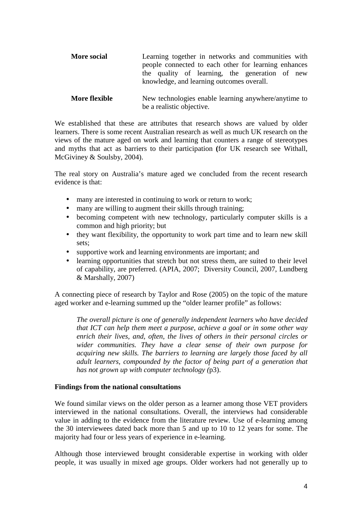| <b>More social</b>   | Learning together in networks and communities with<br>people connected to each other for learning enhances<br>the quality of learning, the generation of new<br>knowledge, and learning outcomes overall. |  |  |  |  |  |
|----------------------|-----------------------------------------------------------------------------------------------------------------------------------------------------------------------------------------------------------|--|--|--|--|--|
| <b>More flexible</b> | New technologies enable learning anywhere/anytime to<br>be a realistic objective.                                                                                                                         |  |  |  |  |  |

We established that these are attributes that research shows are valued by older learners. There is some recent Australian research as well as much UK research on the views of the mature aged on work and learning that counters a range of stereotypes and myths that act as barriers to their participation **(**for UK research see Withall, McGiviney & Soulsby, 2004).

The real story on Australia's mature aged we concluded from the recent research evidence is that:

- many are interested in continuing to work or return to work;
- many are willing to augment their skills through training;
- becoming competent with new technology, particularly computer skills is a common and high priority; but
- they want flexibility, the opportunity to work part time and to learn new skill sets;
- supportive work and learning environments are important; and
- learning opportunities that stretch but not stress them, are suited to their level of capability, are preferred. (APIA, 2007; Diversity Council, 2007, Lundberg & Marshally, 2007)

A connecting piece of research by Taylor and Rose (2005) on the topic of the mature aged worker and e-learning summed up the "older learner profile" as follows:

*The overall picture is one of generally independent learners who have decided that ICT can help them meet a purpose, achieve a goal or in some other way enrich their lives, and, often, the lives of others in their personal circles or wider communities. They have a clear sense of their own purpose for acquiring new skills. The barriers to learning are largely those faced by all adult learners, compounded by the factor of being part of a generation that has not grown up with computer technology (*p3).

#### **Findings from the national consultations**

We found similar views on the older person as a learner among those VET providers interviewed in the national consultations. Overall, the interviews had considerable value in adding to the evidence from the literature review*.* Use of e-learning among the 30 interviewees dated back more than 5 and up to 10 to 12 years for some. The majority had four or less years of experience in e-learning.

Although those interviewed brought considerable expertise in working with older people, it was usually in mixed age groups. Older workers had not generally up to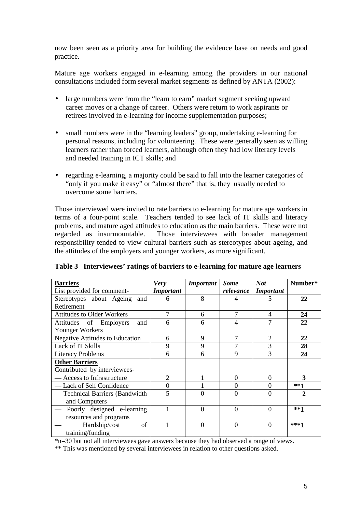now been seen as a priority area for building the evidence base on needs and good practice.

Mature age workers engaged in e-learning among the providers in our national consultations included form several market segments as defined by ANTA (2002):

- large numbers were from the "learn to earn" market segment seeking upward career moves or a change of career. Others were return to work aspirants or retirees involved in e-learning for income supplementation purposes;
- small numbers were in the "learning leaders" group, undertaking e-learning for personal reasons, including for volunteering. These were generally seen as willing learners rather than forced learners, although often they had low literacy levels and needed training in ICT skills; and
- regarding e-learning, a majority could be said to fall into the learner categories of "only if you make it easy" or "almost there" that is, they usually needed to overcome some barriers.

Those interviewed were invited to rate barriers to e-learning for mature age workers in terms of a four-point scale. Teachers tended to see lack of IT skills and literacy problems, and mature aged attitudes to education as the main barriers. These were not regarded as insurmountable. Those interviewees with broader management responsibility tended to view cultural barriers such as stereotypes about ageing, and the attitudes of the employers and younger workers, as more significant.

| <b>Barriers</b>                   | <b>Very</b>                 | <b>Important</b> | <b>Some</b> | <b>Not</b>       | Number*                     |
|-----------------------------------|-----------------------------|------------------|-------------|------------------|-----------------------------|
| List provided for comment-        | <b>Important</b>            |                  | relevance   | <b>Important</b> |                             |
| Stereotypes about Ageing and      | 6                           | 8                |             |                  | 22                          |
| Retirement                        |                             |                  |             |                  |                             |
| <b>Attitudes to Older Workers</b> | 7                           | 6                | 7           | 4                | 24                          |
| Attitudes of Employers<br>and     | 6                           | 6                | 4           | 7                | 22                          |
| Younger Workers                   |                             |                  |             |                  |                             |
| Negative Attitudes to Education   | 6                           | 9                | 7           | 2                | 22                          |
| Lack of IT Skills                 | 9                           | 9                | 7           | 3                | 28                          |
| <b>Literacy Problems</b>          | 6                           | 6                | 9           | 3                | 24                          |
| <b>Other Barriers</b>             |                             |                  |             |                  |                             |
| Contributed by interviewees-      |                             |                  |             |                  |                             |
| — Access to Infrastructure        | $\mathcal{D}_{\mathcal{L}}$ |                  | $\theta$    | $\Omega$         | 3                           |
| — Lack of Self Confidence         | $\theta$                    |                  | 0           | $\Omega$         | $***1$                      |
| — Technical Barriers (Bandwidth   | 5                           |                  | 0           | 0                | $\mathcal{D}_{\mathcal{L}}$ |
| and Computers                     |                             |                  |             |                  |                             |
| — Poorly designed e-learning      |                             | $\Omega$         | 0           | $\Omega$         | $***1$                      |
| resources and programs            |                             |                  |             |                  |                             |
| of<br>Hardship/cost               |                             | 0                | 0           | $\theta$         | $***1$                      |
| training/funding                  |                             |                  |             |                  |                             |

|  |  | Table 3 Interviewees' ratings of barriers to e-learning for mature age learners |  |
|--|--|---------------------------------------------------------------------------------|--|
|  |  |                                                                                 |  |

\*n=30 but not all interviewees gave answers because they had observed a range of views.

\*\* This was mentioned by several interviewees in relation to other questions asked.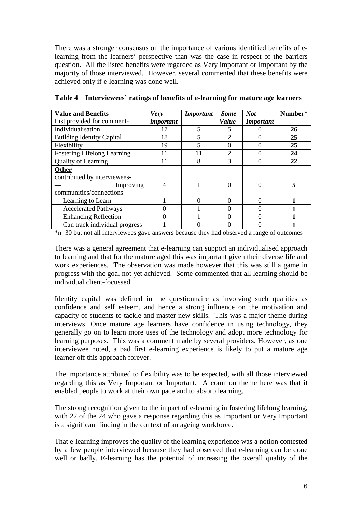There was a stronger consensus on the importance of various identified benefits of elearning from the learners' perspective than was the case in respect of the barriers question. All the listed benefits were regarded as Very important or Important by the majority of those interviewed. However, several commented that these benefits were achieved only if e-learning was done well.

| <b>Value and Benefits</b>          | <b>Very</b> | <b>Important</b> | <b>Some</b> | <b>Not</b>       | Number* |
|------------------------------------|-------------|------------------|-------------|------------------|---------|
| List provided for comment-         | important   |                  | Value       | <b>Important</b> |         |
| Individualisation                  | 17          | 5                |             |                  | 26      |
| <b>Building Identity Capital</b>   | 18          | 5                |             |                  | 25      |
| Flexibility                        | 19          | 5                |             |                  | 25      |
| <b>Fostering Lifelong Learning</b> | 11          | 11               | 2           |                  | 24      |
| Quality of Learning                | 11          | 8                | 3           |                  | 22      |
| <b>Other</b>                       |             |                  |             |                  |         |
| contributed by interviewees-       |             |                  |             |                  |         |
| Improving                          | 4           |                  |             |                  | 5       |
| communities/connections            |             |                  |             |                  |         |
| — Learning to Learn                |             | $\Omega$         |             |                  |         |
| - Accelerated Pathways             | 0           |                  |             |                  |         |
| — Enhancing Reflection             | $\Omega$    |                  |             |                  |         |
| — Can track individual progress    |             |                  |             |                  |         |

**Table 4 Interviewees' ratings of benefits of e-learning for mature age learners** 

\*n=30 but not all interviewees gave answers because they had observed a range of outcomes

There was a general agreement that e-learning can support an individualised approach to learning and that for the mature aged this was important given their diverse life and work experiences. The observation was made however that this was still a game in progress with the goal not yet achieved. Some commented that all learning should be individual client-focussed.

Identity capital was defined in the questionnaire as involving such qualities as confidence and self esteem, and hence a strong influence on the motivation and capacity of students to tackle and master new skills. This was a major theme during interviews. Once mature age learners have confidence in using technology, they generally go on to learn more uses of the technology and adopt more technology for learning purposes. This was a comment made by several providers. However, as one interviewee noted, a bad first e-learning experience is likely to put a mature age learner off this approach forever.

The importance attributed to flexibility was to be expected, with all those interviewed regarding this as Very Important or Important. A common theme here was that it enabled people to work at their own pace and to absorb learning.

The strong recognition given to the impact of e-learning in fostering lifelong learning, with 22 of the 24 who gave a response regarding this as Important or Very Important is a significant finding in the context of an ageing workforce.

That e-learning improves the quality of the learning experience was a notion contested by a few people interviewed because they had observed that e-learning can be done well or badly. E-learning has the potential of increasing the overall quality of the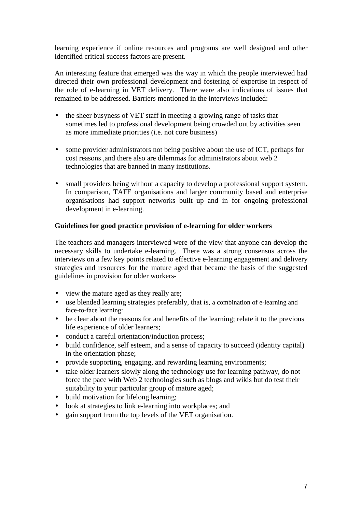learning experience if online resources and programs are well designed and other identified critical success factors are present.

An interesting feature that emerged was the way in which the people interviewed had directed their own professional development and fostering of expertise in respect of the role of e-learning in VET delivery. There were also indications of issues that remained to be addressed. Barriers mentioned in the interviews included:

- the sheer busyness of VET staff in meeting a growing range of tasks that sometimes led to professional development being crowded out by activities seen as more immediate priorities (i.e. not core business)
- some provider administrators not being positive about the use of ICT, perhaps for cost reasons ,and there also are dilemmas for administrators about web 2 technologies that are banned in many institutions.
- small providers being without a capacity to develop a professional support system**.** In comparison, TAFE organisations and larger community based and enterprise organisations had support networks built up and in for ongoing professional development in e-learning.

# **Guidelines for good practice provision of e-learning for older workers**

The teachers and managers interviewed were of the view that anyone can develop the necessary skills to undertake e-learning. There was a strong consensus across the interviews on a few key points related to effective e-learning engagement and delivery strategies and resources for the mature aged that became the basis of the suggested guidelines in provision for older workers-

- view the mature aged as they really are;
- use blended learning strategies preferably, that is, a combination of e-learning and face-to-face learning:
- be clear about the reasons for and benefits of the learning; relate it to the previous life experience of older learners;
- conduct a careful orientation/induction process;
- build confidence, self esteem, and a sense of capacity to succeed (identity capital) in the orientation phase;
- provide supporting, engaging, and rewarding learning environments;
- take older learners slowly along the technology use for learning pathway, do not force the pace with Web 2 technologies such as blogs and wikis but do test their suitability to your particular group of mature aged;
- build motivation for lifelong learning:
- look at strategies to link e-learning into workplaces; and
- gain support from the top levels of the VET organisation.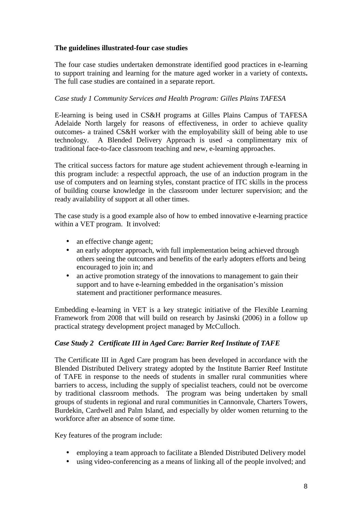# **The guidelines illustrated-four case studies**

The four case studies undertaken demonstrate identified good practices in e-learning to support training and learning for the mature aged worker in a variety of contexts**.**  The full case studies are contained in a separate report.

## *Case study 1 Community Services and Health Program: Gilles Plains TAFESA*

E-learning is being used in CS&H programs at Gilles Plains Campus of TAFESA Adelaide North largely for reasons of effectiveness, in order to achieve quality outcomes- a trained CS&H worker with the employability skill of being able to use technology. A Blended Delivery Approach is used -a complimentary mix of traditional face-to-face classroom teaching and new, e-learning approaches.

The critical success factors for mature age student achievement through e-learning in this program include: a respectful approach, the use of an induction program in the use of computers and on learning styles, constant practice of ITC skills in the process of building course knowledge in the classroom under lecturer supervision; and the ready availability of support at all other times.

The case study is a good example also of how to embed innovative e-learning practice within a VET program. It involved:

- an effective change agent;
- an early adopter approach, with full implementation being achieved through others seeing the outcomes and benefits of the early adopters efforts and being encouraged to join in; and
- an active promotion strategy of the innovations to management to gain their support and to have e-learning embedded in the organisation's mission statement and practitioner performance measures.

Embedding e-learning in VET is a key strategic initiative of the Flexible Learning Framework from 2008 that will build on research by Jasinski (2006) in a follow up practical strategy development project managed by McCulloch.

#### *Case Study 2 Certificate III in Aged Care: Barrier Reef Institute of TAFE*

The Certificate III in Aged Care program has been developed in accordance with the Blended Distributed Delivery strategy adopted by the Institute Barrier Reef Institute of TAFE in response to the needs of students in smaller rural communities where barriers to access, including the supply of specialist teachers, could not be overcome by traditional classroom methods. The program was being undertaken by small groups of students in regional and rural communities in Cannonvale, Charters Towers, Burdekin, Cardwell and Palm Island, and especially by older women returning to the workforce after an absence of some time.

Key features of the program include:

- employing a team approach to facilitate a Blended Distributed Delivery model
- using video-conferencing as a means of linking all of the people involved; and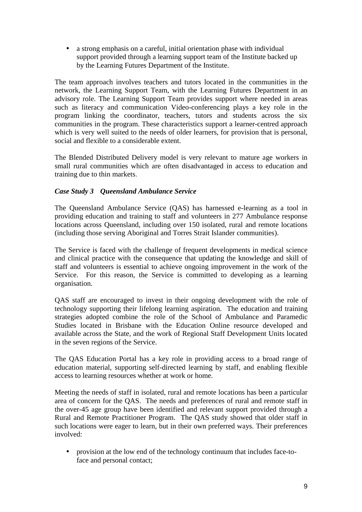• a strong emphasis on a careful, initial orientation phase with individual support provided through a learning support team of the Institute backed up by the Learning Futures Department of the Institute.

The team approach involves teachers and tutors located in the communities in the network, the Learning Support Team, with the Learning Futures Department in an advisory role. The Learning Support Team provides support where needed in areas such as literacy and communication Video-conferencing plays a key role in the program linking the coordinator, teachers, tutors and students across the six communities in the program. These characteristics support a learner-centred approach which is very well suited to the needs of older learners, for provision that is personal, social and flexible to a considerable extent.

The Blended Distributed Delivery model is very relevant to mature age workers in small rural communities which are often disadvantaged in access to education and training due to thin markets.

# *Case Study 3 Queensland Ambulance Service*

The Queensland Ambulance Service (QAS) has harnessed e-learning as a tool in providing education and training to staff and volunteers in 277 Ambulance response locations across Queensland, including over 150 isolated, rural and remote locations (including those serving Aboriginal and Torres Strait Islander communities).

The Service is faced with the challenge of frequent developments in medical science and clinical practice with the consequence that updating the knowledge and skill of staff and volunteers is essential to achieve ongoing improvement in the work of the Service. For this reason, the Service is committed to developing as a learning organisation.

QAS staff are encouraged to invest in their ongoing development with the role of technology supporting their lifelong learning aspiration. The education and training strategies adopted combine the role of the School of Ambulance and Paramedic Studies located in Brisbane with the Education Online resource developed and available across the State, and the work of Regional Staff Development Units located in the seven regions of the Service.

The QAS Education Portal has a key role in providing access to a broad range of education material, supporting self-directed learning by staff, and enabling flexible access to learning resources whether at work or home.

Meeting the needs of staff in isolated, rural and remote locations has been a particular area of concern for the QAS. The needs and preferences of rural and remote staff in the over-45 age group have been identified and relevant support provided through a Rural and Remote Practitioner Program. The QAS study showed that older staff in such locations were eager to learn, but in their own preferred ways. Their preferences involved:

• provision at the low end of the technology continuum that includes face-toface and personal contact;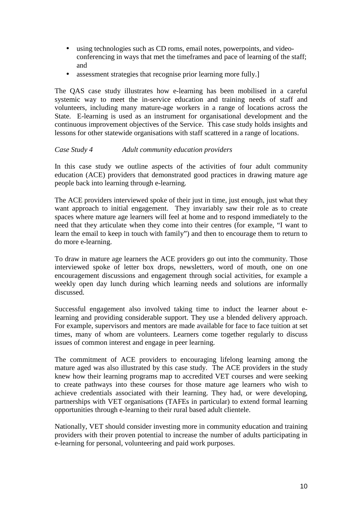- using technologies such as CD roms, email notes, powerpoints, and videoconferencing in ways that met the timeframes and pace of learning of the staff; and
- assessment strategies that recognise prior learning more fully.

The QAS case study illustrates how e-learning has been mobilised in a careful systemic way to meet the in-service education and training needs of staff and volunteers, including many mature-age workers in a range of locations across the State. E-learning is used as an instrument for organisational development and the continuous improvement objectives of the Service. This case study holds insights and lessons for other statewide organisations with staff scattered in a range of locations.

## *Case Study 4 Adult community education providers*

In this case study we outline aspects of the activities of four adult community education (ACE) providers that demonstrated good practices in drawing mature age people back into learning through e-learning.

The ACE providers interviewed spoke of their just in time, just enough, just what they want approach to initial engagement. They invariably saw their role as to create spaces where mature age learners will feel at home and to respond immediately to the need that they articulate when they come into their centres (for example, "I want to learn the email to keep in touch with family") and then to encourage them to return to do more e-learning.

To draw in mature age learners the ACE providers go out into the community. Those interviewed spoke of letter box drops, newsletters, word of mouth, one on one encouragement discussions and engagement through social activities, for example a weekly open day lunch during which learning needs and solutions are informally discussed.

Successful engagement also involved taking time to induct the learner about elearning and providing considerable support. They use a blended delivery approach. For example, supervisors and mentors are made available for face to face tuition at set times, many of whom are volunteers. Learners come together regularly to discuss issues of common interest and engage in peer learning.

The commitment of ACE providers to encouraging lifelong learning among the mature aged was also illustrated by this case study. The ACE providers in the study knew how their learning programs map to accredited VET courses and were seeking to create pathways into these courses for those mature age learners who wish to achieve credentials associated with their learning. They had, or were developing, partnerships with VET organisations (TAFEs in particular) to extend formal learning opportunities through e-learning to their rural based adult clientele.

Nationally, VET should consider investing more in community education and training providers with their proven potential to increase the number of adults participating in e-learning for personal, volunteering and paid work purposes.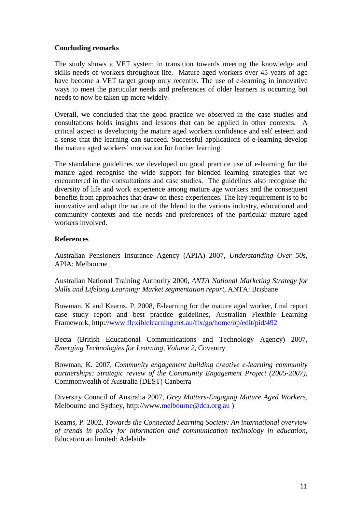## **Concluding remarks**

The study shows a VET system in transition towards meeting the knowledge and skills needs of workers throughout life. Mature aged workers over 45 years of age have become a VET target group only recently. The use of e-learning in innovative ways to meet the particular needs and preferences of older learners is occurring but needs to now be taken up more widely.

Overall, we concluded that the good practice we observed in the case studies and consultations holds insights and lessons that can be applied in other contexts. A critical aspect is developing the mature aged workers confidence and self esteem and a sense that the learning can succeed. Successful applications of e-learning develop the mature aged workers' motivation for further learning.

The standalone guidelines we developed on good practice use of e-learning for the mature aged recognise the wide support for blended learning strategies that we encountered in the consultations and case studies. The guidelines also recognise the diversity of life and work experience among mature age workers and the consequent benefits from approaches that draw on these experiences. The key requirement is to be innovative and adapt the nature of the blend to the various industry, educational and community contexts and the needs and preferences of the particular mature aged workers involved.

# **References**

Australian Pensioners Insurance Agency (APIA) 2007, *Understanding Over 50s*, APIA: Melbourne

Australian National Training Authority 2000, *ANTA National Marketing Strategy for Skills and Lifelong Learning: Market segmentation report*, ANTA: Brisbane

Bowman, K and Kearns, P, 2008, E-learning for the mature aged worker, final report case study report and best practice guidelines, Australian Flexible Learning Framework, http://www.flexiblelearning.net.au/flx/go/home/op/edit/pid/492

Becta (British Educational Communications and Technology Agency) 2007, *Emerging Technologies for Learning, Volume 2*, Coventry

Bowman, K. 2007, *Community engagement building creative e-learning community partnerships: Strategic review of the Community Engagement Project (2005-2007),* Commonwealth of Australia (DEST) Canberra

Diversity Council of Australia 2007, *Grey Matters-Engaging Mature Aged Workers,*  Melbourne and Sydney, http://www.melbourne@dca.org.au )

Kearns, P. 2002, *Towards the Connected Learning Society: An international overview of trends in policy for information and communication technology in education*, Education.au limited: Adelaide